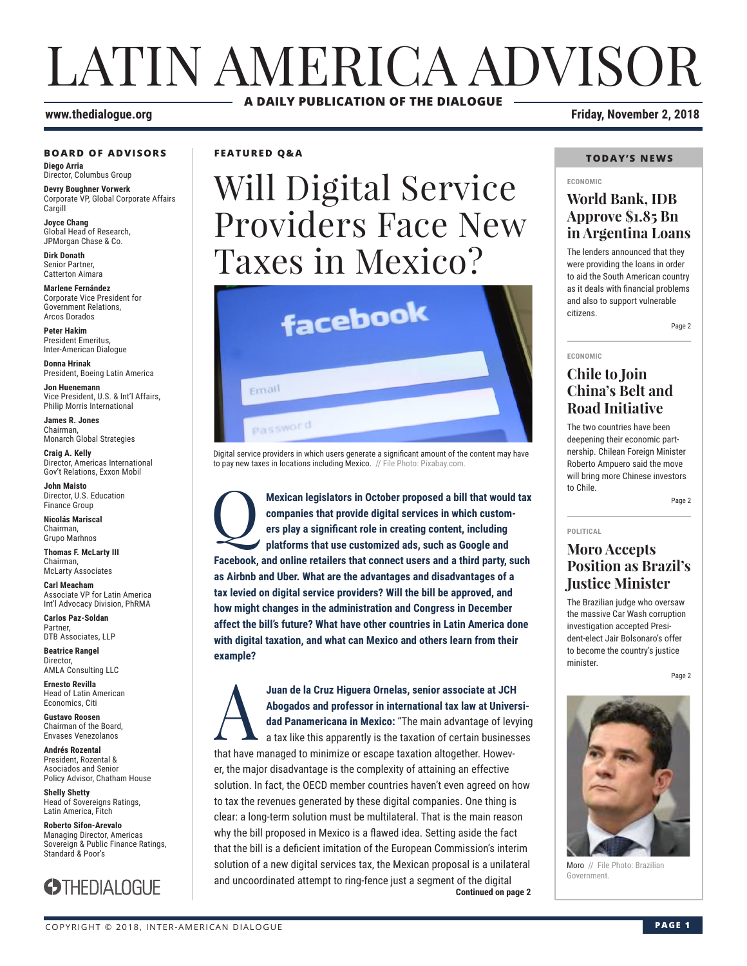# LATIN AMERICA ADVISOR **A DAILY PUBLICATION OF THE DIALOGUE**

#### **BOARD OF ADVISORS**

**Diego Arria** Director, Columbus Group

**Devry Boughner Vorwerk** Corporate VP, Global Corporate Affairs Cargill

**Joyce Chang** Global Head of Research, JPMorgan Chase & Co.

**Dirk Donath** Senior Partner, Catterton Aimara

**Marlene Fernández** Corporate Vice President for Government Relations, Arcos Dorados

**Peter Hakim** President Emeritus, Inter-American Dialogue

**Donna Hrinak** President, Boeing Latin America

**Jon Huenemann** Vice President, U.S. & Int'l Affairs, Philip Morris International

**James R. Jones** Chairman, Monarch Global Strategies

**Craig A. Kelly** Director, Americas International Gov't Relations, Exxon Mobil

**John Maisto** Director, U.S. Education Finance Group

**Nicolás Mariscal** Chairman, Grupo Marhnos

**Thomas F. McLarty III** Chairman, McLarty Associates

**Carl Meacham** Associate VP for Latin America Int'l Advocacy Division, PhRMA

**Carlos Paz-Soldan** Partner, DTB Associates, LLP

**Beatrice Rangel Director** AMLA Consulting LLC

**Ernesto Revilla**  Head of Latin American Economics, Citi

**Gustavo Roosen** Chairman of the Board, Envases Venezolanos

**Andrés Rozental**  President, Rozental & Asociados and Senior Policy Advisor, Chatham House

**Shelly Shetty** Head of Sovereigns Ratings, Latin America, Fitch

**Roberto Sifon-Arevalo** Managing Director, Americas Sovereign & Public Finance Ratings, Standard & Poor's



### **FEATURED Q&A**

# Will Digital Service Providers Face New Taxes in Mexico?



Digital service providers in which users generate a significant amount of the content may have to pay new taxes in locations including Mexico. // File Photo: Pixabay.com.

**Mexican legislators in October proposed a bill that would tax companies that provide digital services in which customers play a significant role in creating content, including platforms that use customized ads, such as Go companies that provide digital services in which customers play a significant role in creating content, including platforms that use customized ads, such as Google and Facebook, and online retailers that connect users and a third party, such as Airbnb and Uber. What are the advantages and disadvantages of a tax levied on digital service providers? Will the bill be approved, and how might changes in the administration and Congress in December affect the bill's future? What have other countries in Latin America done with digital taxation, and what can Mexico and others learn from their example?**

**Continued on page 2** Juan de la Cruz Higuera Ornelas, senior associate at JCH<br>
Abogados and professor in international tax law at Universe<br>
dad Panamericana in Mexico: "The main advantage of levy<br>
a tax like this apparently is the taxation of **Abogados and professor in international tax law at Universidad Panamericana in Mexico:** "The main advantage of levying a tax like this apparently is the taxation of certain businesses that have managed to minimize or escape taxation altogether. However, the major disadvantage is the complexity of attaining an effective solution. In fact, the OECD member countries haven't even agreed on how to tax the revenues generated by these digital companies. One thing is clear: a long-term solution must be multilateral. That is the main reason why the bill proposed in Mexico is a flawed idea. Setting aside the fact that the bill is a deficient imitation of the European Commission's interim solution of a new digital services tax, the Mexican proposal is a unilateral and uncoordinated attempt to ring-fence just a segment of the digital

### **www.thedialogue.org Friday, November 2, 2018**

### **TODAY'S NEWS**

#### **ECONOMIC**

### **World Bank, IDB Approve \$1.85 Bn in Argentina Loans**

The lenders announced that they were providing the loans in order to aid the South American country as it deals with financial problems and also to support vulnerable citizens.

Page 2

### **ECONOMIC Chile to Join China's Belt and Road Initiative**

The two countries have been deepening their economic partnership. Chilean Foreign Minister Roberto Ampuero said the move will bring more Chinese investors to Chile.

Page 2

#### **POLITICAL**

### **Moro Accepts Position as Brazil's Justice Minister**

The Brazilian judge who oversaw the massive Car Wash corruption investigation accepted President-elect Jair Bolsonaro's offer to become the country's justice minister.

Page 2



Moro // File Photo: Brazilian Government.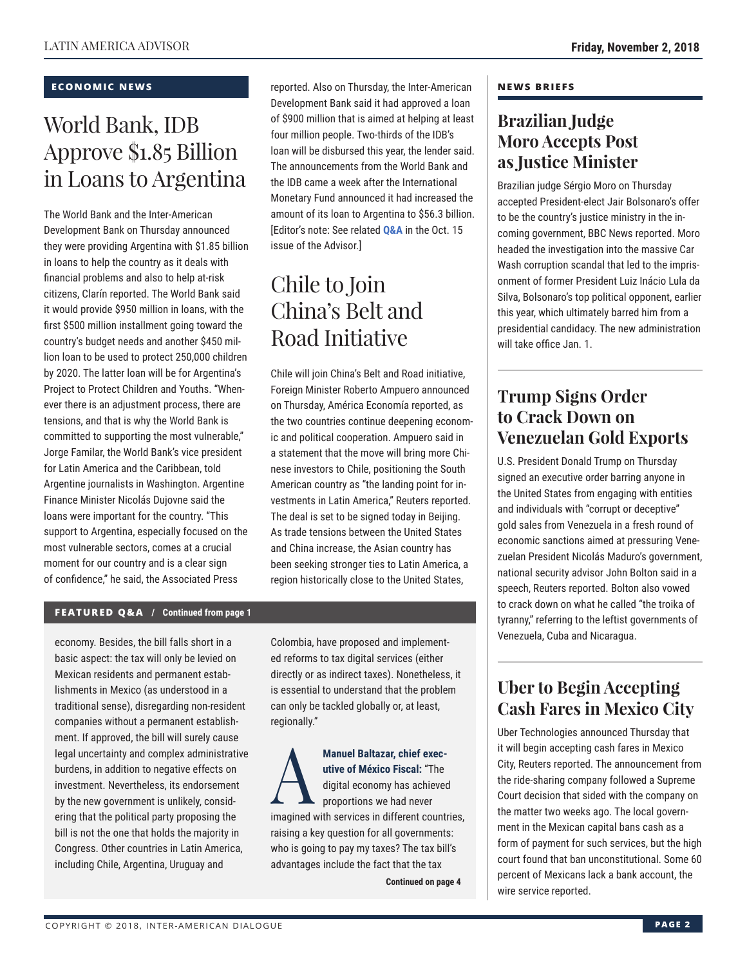#### **ECONOMIC NEWS**

# World Bank, IDB Approve \$1.85 Billion in Loans to Argentina

The World Bank and the Inter-American Development Bank on Thursday announced they were providing Argentina with \$1.85 billion in loans to help the country as it deals with financial problems and also to help at-risk citizens, Clarín reported. The World Bank said it would provide \$950 million in loans, with the first \$500 million installment going toward the country's budget needs and another \$450 million loan to be used to protect 250,000 children by 2020. The latter loan will be for Argentina's Project to Protect Children and Youths. "Whenever there is an adjustment process, there are tensions, and that is why the World Bank is committed to supporting the most vulnerable," Jorge Familar, the World Bank's vice president for Latin America and the Caribbean, told Argentine journalists in Washington. Argentine Finance Minister Nicolás Dujovne said the loans were important for the country. "This support to Argentina, especially focused on the most vulnerable sectors, comes at a crucial moment for our country and is a clear sign of confidence," he said, the Associated Press

reported. Also on Thursday, the Inter-American Development Bank said it had approved a loan of \$900 million that is aimed at helping at least four million people. Two-thirds of the IDB's loan will be disbursed this year, the lender said. The announcements from the World Bank and the IDB came a week after the International Monetary Fund announced it had increased the amount of its loan to Argentina to \$56.3 billion. [Editor's note: See related **[Q&A](http://www.thedialogue.org/wp-content/uploads/2018/10/LAA181015.pdf)** in the Oct. 15 issue of the Advisor.]

# Chile to Join China's Belt and Road Initiative

Chile will join China's Belt and Road initiative, Foreign Minister Roberto Ampuero announced on Thursday, América Economía reported, as the two countries continue deepening economic and political cooperation. Ampuero said in a statement that the move will bring more Chinese investors to Chile, positioning the South American country as "the landing point for investments in Latin America," Reuters reported. The deal is set to be signed today in Beijing. As trade tensions between the United States and China increase, the Asian country has been seeking stronger ties to Latin America, a region historically close to the United States,

### **FEATURED Q&A / Continued from page 1**

economy. Besides, the bill falls short in a basic aspect: the tax will only be levied on Mexican residents and permanent establishments in Mexico (as understood in a traditional sense), disregarding non-resident companies without a permanent establishment. If approved, the bill will surely cause legal uncertainty and complex administrative burdens, in addition to negative effects on investment. Nevertheless, its endorsement by the new government is unlikely, considering that the political party proposing the bill is not the one that holds the majority in Congress. Other countries in Latin America, including Chile, Argentina, Uruguay and

Colombia, have proposed and implemented reforms to tax digital services (either directly or as indirect taxes). Nonetheless, it is essential to understand that the problem can only be tackled globally or, at least, regionally."

Manuel Baltazar, chief executive of México Fiscal: "The
digital economy has achieved
proportions we had never **utive of México Fiscal:** "The digital economy has achieved proportions we had never imagined with services in different countries, raising a key question for all governments: who is going to pay my taxes? The tax bill's advantages include the fact that the tax

**Continued on page 4** 

#### **NEWS BRIEFS**

### **Brazilian Judge Moro Accepts Post as Justice Minister**

Brazilian judge Sérgio Moro on Thursday accepted President-elect Jair Bolsonaro's offer to be the country's justice ministry in the incoming government, BBC News reported. Moro headed the investigation into the massive Car Wash corruption scandal that led to the imprisonment of former President Luiz Inácio Lula da Silva, Bolsonaro's top political opponent, earlier this year, which ultimately barred him from a presidential candidacy. The new administration will take office Jan. 1.

### **Trump Signs Order to Crack Down on Venezuelan Gold Exports**

U.S. President Donald Trump on Thursday signed an executive order barring anyone in the United States from engaging with entities and individuals with "corrupt or deceptive" gold sales from Venezuela in a fresh round of economic sanctions aimed at pressuring Venezuelan President Nicolás Maduro's government, national security advisor John Bolton said in a speech, Reuters reported. Bolton also vowed to crack down on what he called "the troika of tyranny," referring to the leftist governments of Venezuela, Cuba and Nicaragua.

### **Uber to Begin Accepting Cash Fares in Mexico City**

Uber Technologies announced Thursday that it will begin accepting cash fares in Mexico City, Reuters reported. The announcement from the ride-sharing company followed a Supreme Court decision that sided with the company on the matter two weeks ago. The local government in the Mexican capital bans cash as a form of payment for such services, but the high court found that ban unconstitutional. Some 60 percent of Mexicans lack a bank account, the wire service reported.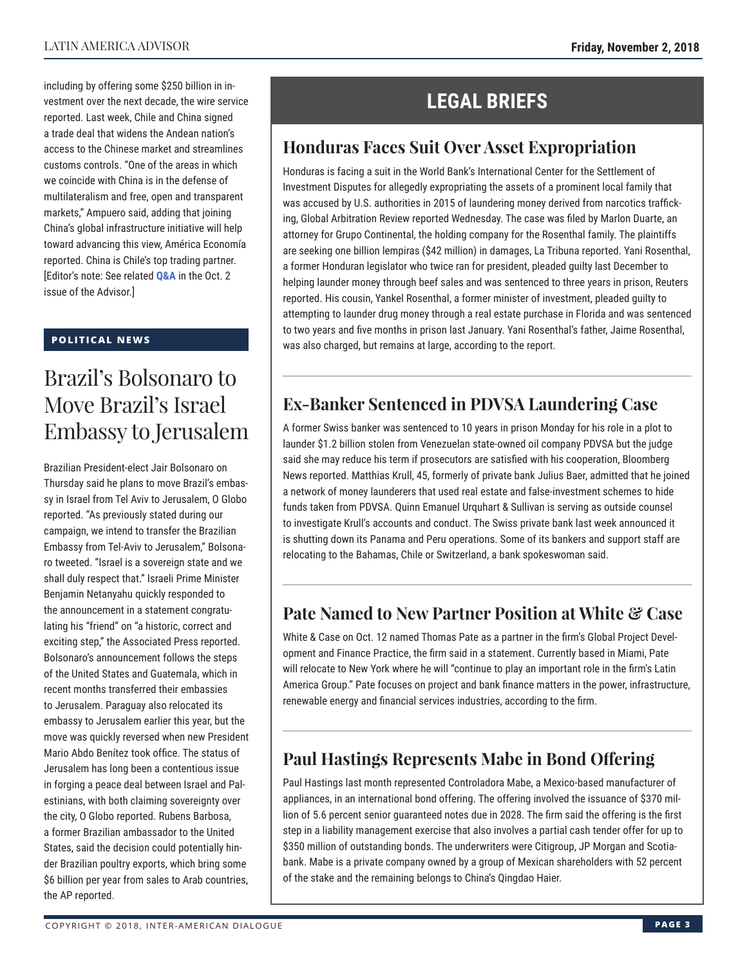including by offering some \$250 billion in investment over the next decade, the wire service reported. Last week, Chile and China signed a trade deal that widens the Andean nation's access to the Chinese market and streamlines customs controls. "One of the areas in which we coincide with China is in the defense of multilateralism and free, open and transparent markets," Ampuero said, adding that joining China's global infrastructure initiative will help toward advancing this view, América Economía reported. China is Chile's top trading partner. [Editor's note: See related **[Q&A](http://www.thedialogue.org/wp-content/uploads/2018/10/LAA18102.pdf)** in the Oct. 2 issue of the Advisor.]

### **POLITICAL NEWS**

# Brazil's Bolsonaro to Move Brazil's Israel Embassy to Jerusalem

Brazilian President-elect Jair Bolsonaro on Thursday said he plans to move Brazil's embassy in Israel from Tel Aviv to Jerusalem, O Globo reported. "As previously stated during our campaign, we intend to transfer the Brazilian Embassy from Tel-Aviv to Jerusalem," Bolsonaro tweeted. "Israel is a sovereign state and we shall duly respect that." Israeli Prime Minister Benjamin Netanyahu quickly responded to the announcement in a statement congratulating his "friend" on "a historic, correct and exciting step," the Associated Press reported. Bolsonaro's announcement follows the steps of the United States and Guatemala, which in recent months transferred their embassies to Jerusalem. Paraguay also relocated its embassy to Jerusalem earlier this year, but the move was quickly reversed when new President Mario Abdo Benítez took office. The status of Jerusalem has long been a contentious issue in forging a peace deal between Israel and Palestinians, with both claiming sovereignty over the city, O Globo reported. Rubens Barbosa, a former Brazilian ambassador to the United States, said the decision could potentially hinder Brazilian poultry exports, which bring some \$6 billion per year from sales to Arab countries, the AP reported.

## **LEGAL BRIEFS**

### **Honduras Faces Suit Over Asset Expropriation**

Honduras is facing a suit in the World Bank's International Center for the Settlement of Investment Disputes for allegedly expropriating the assets of a prominent local family that was accused by U.S. authorities in 2015 of laundering money derived from narcotics trafficking, Global Arbitration Review reported Wednesday. The case was filed by Marlon Duarte, an attorney for Grupo Continental, the holding company for the Rosenthal family. The plaintiffs are seeking one billion lempiras (\$42 million) in damages, La Tribuna reported. Yani Rosenthal, a former Honduran legislator who twice ran for president, pleaded guilty last December to helping launder money through beef sales and was sentenced to three years in prison, Reuters reported. His cousin, Yankel Rosenthal, a former minister of investment, pleaded guilty to attempting to launder drug money through a real estate purchase in Florida and was sentenced to two years and five months in prison last January. Yani Rosenthal's father, Jaime Rosenthal, was also charged, but remains at large, according to the report.

### **Ex-Banker Sentenced in PDVSA Laundering Case**

A former Swiss banker was sentenced to 10 years in prison Monday for his role in a plot to launder \$1.2 billion stolen from Venezuelan state-owned oil company PDVSA but the judge said she may reduce his term if prosecutors are satisfied with his cooperation, Bloomberg News reported. Matthias Krull, 45, formerly of private bank Julius Baer, admitted that he joined a network of money launderers that used real estate and false-investment schemes to hide funds taken from PDVSA. Quinn Emanuel Urquhart & Sullivan is serving as outside counsel to investigate Krull's accounts and conduct. The Swiss private bank last week announced it is shutting down its Panama and Peru operations. Some of its bankers and support staff are relocating to the Bahamas, Chile or Switzerland, a bank spokeswoman said.

### **Pate Named to New Partner Position at White & Case**

White & Case on Oct. 12 named Thomas Pate as a partner in the firm's Global Project Development and Finance Practice, the firm said in a statement. Currently based in Miami, Pate will relocate to New York where he will "continue to play an important role in the firm's Latin America Group." Pate focuses on project and bank finance matters in the power, infrastructure, renewable energy and financial services industries, according to the firm.

### **Paul Hastings Represents Mabe in Bond Offering**

Paul Hastings last month represented Controladora Mabe, a Mexico-based manufacturer of appliances, in an international bond offering. The offering involved the issuance of \$370 million of 5.6 percent senior guaranteed notes due in 2028. The firm said the offering is the first step in a liability management exercise that also involves a partial cash tender offer for up to \$350 million of outstanding bonds. The underwriters were Citigroup, JP Morgan and Scotiabank. Mabe is a private company owned by a group of Mexican shareholders with 52 percent of the stake and the remaining belongs to China's Qingdao Haier.